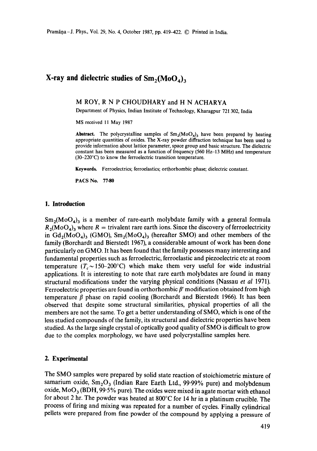# **X-ray and dielectric studies of**  $Sm_2(M_0O_4)$ **,**

#### M ROY, R N P CHOUDHARY and H N ACHARYA

Department of Physics, Indian Institute of Technology, Kharagpur 721 302, India

MS received 11 May 1987

**Abstract.** The polycrystalline samples of  $Sm_2(M_0O_4)$ <sub>3</sub> have been prepared by heating appropriate quantities of oxides. The X-ray powder diffraction technique has been used to provide information about lattice parameter, space group and basic structure. The dielectric constant has been measured as a function of frequency (560 Hz-13 MHz) and temperature (30-220°C) to know the ferroelectric transition temperature.

Keywords. Ferroelectrics; ferroelastics; orthorhombic phase; dielectric constant.

PACS No. **77.80** 

#### **1. Introduction**

 $Sm_2(M_0O_4)$  is a member of rare-earth molybdate family with a general formula  $R_2(M_0O_4)$  where  $R =$  trivalent rare earth ions. Since the discovery of ferroelectricity in  $Gd_2(M_0O_4)$ <sub>3</sub> (GMO),  $Sm_2(M_0O_4)$ <sub>3</sub> (hereafter SMO) and other members of the family (Borchardt and Bierstedt 1967), a considerable amount of work has been done particularly on GMO. It has been found that the family possesses many interesting and fundamental properties such as ferroelectric, ferroelastic and piezoelectric etc at room temperature ( $T_c \sim 150{\text{-}200}^{\circ}\text{C}$ ) which make them very useful for wide industrial applications. It is interesting to note that rare earth molybdates are found in many structural modifications under the varying physical conditions (Nassau *et al* 1971). Ferroelectric properties are found in orthorhombic  $\beta'$  modification obtained from high temperature  $\beta$  phase on rapid cooling (Borchardt and Bierstedt 1966). It has been observed that despite some structural similarities, physical properties of all the members are not the same. To get a better understanding of SMO, which is one of the less studied compounds of the family, its structural and dielectric properties have been studied. As the large single crystal of optically good quality of SMO is difficult to grow due to the complex morphology, we have used polycrystalline samples here.

### **2. Experimental**

The SMO samples were prepared by solid state reaction of stoichiometric mixture of samarium oxide,  $Sm_2O_3$  (Indian Rare Earth Ltd., 99.99% pure) and molybdenum oxide,  $MO_{3}$  (BDH, 99.5% pure). The oxides were mixed in agate mortar with ethanol for about 2 hr. The powder was heated at 800°C for 14 hr in a platinum crucible. The process of firing and mixing was repeated for a number of cycles. Finally cylindrical pellets were prepared from fine powder of the compound by applying a pressure of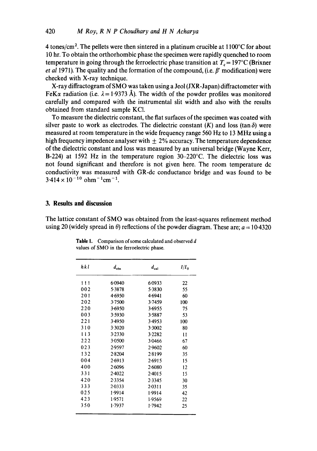**4 tones/cm 2. The pellets were then sintered in a platinum crucible at 1100°C for about 10 hr. To obtain the orthorhombic phase the specimen were rapidly quenched to room temperature in going through the ferroelectric phase transition at**  $T_c = 197^{\circ}C$  **(Brixner** *et al 1971*). The quality and the formation of the compound, (i.e.  $\beta'$  modification) were **checked with X-ray technique.** 

**X-ray diffractogram of SMO was taken using a Jeol (JXR-Japan) diffractometer with**  FeK $\alpha$  radiation (i.e.  $\lambda = 1.9373$  Å). The width of the powder profiles was monitored **carefully and compared with the instrumental slit width and also with the results obtained from standard sample KC1.** 

**To measure the dielectric constant, the flat surfaces of the specimen was coated with**  silver paste to work as electrodes. The dielectric constant  $(K)$  and loss  $(\tan \delta)$  were **measured at room temperature in the wide frequency range 560 Hz to 13 MHz using a**  high frequency impedence analyser with  $\pm$  2% accuracy. The temperature dependence **of the dielectric constant and loss was measured by an universal bridge (Wayne Kerr, B-224) at 1592 Hz in the temperature region 30-220°C. The dielectric loss was not found significant and therefore is not given here. The room temperature dc conductivity was measured with GR-dc conductance bridge and was found to be**   $3.414 \times 10^{-10}$  ohm<sup>-1</sup>cm<sup>-1</sup>.

#### **3. Results and discussion**

**The lattice constant of SMO was obtained from the least-squares refinement method**  using 20 (widely spread in  $\theta$ ) reflections of the powder diagram. These are:  $a = 10-4320$ 

| hkl | $d_{\rm obs}$ | $d_{ca1}$ | $I/I_{\alpha}$  |
|-----|---------------|-----------|-----------------|
| 111 | 6.0940        | 6.0933    | 22              |
| 002 | 5.3878        | 5.3830    | 55              |
| 201 | 4.6950        | 4.6941    | 60              |
| 202 | 3.7500        | 3.7459    | 100             |
| 220 | 3.6950        | 3.6955    | 75              |
| 003 | 3.5930        | 3.5887    | 53              |
| 221 | 3.4950        | 3.4953    | 100             |
| 310 | 3.3020        | 3.3002    | 80              |
| 113 | 3.2330        | 3.2282    | $\overline{11}$ |
| 222 | 3.0500        | 3-0466    | 67              |
| 023 | 2.9597        | 2.9602    | 60              |
| 132 | 2.8204        | 2.8199    | 35              |
| 004 | 2.6913        | 2.6915    | 15              |
| 400 | 26096         | 2.6080    | 12              |
| 331 | 2.4022        | $2-4015$  | 15              |
| 420 | 2.3354        | 2.3345    | 30              |
| 333 | 2.0333        | 2.0311    | 35              |
| 025 | 1.9914        | 1.9914    | 42              |
| 423 | 1-9571        | 1.9569    | 22              |
| 350 | 1.7937        | 1.7942    | 25              |

**Table 1. Comparison of some calculated and observed d values of SMO in the ferroelectric phase.**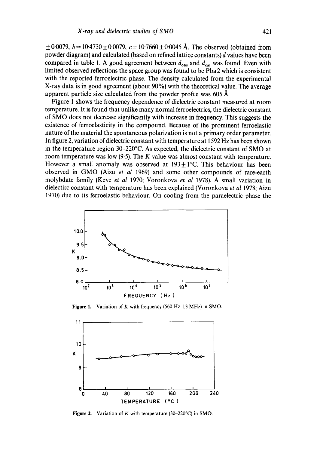$\pm 0.0079$ ,  $b = 10.4730 \pm 0.0079$ ,  $c = 10.7660 \pm 0.0045$  Å. The observed (obtained from powder diagram) and calculated (based on refined lattice constants) d values have been compared in table 1. A good agreement between  $d_{obs}$  and  $d_{cal}$  was found. Even with limited observed reflections the space group was found to be Pba2 which is consistent with the reported ferroelectric phase. The density calculated from the experimental X-ray data is in good agreement (about 90%) with the theoretical value. The average apparent particle size calculated from the powder profile was  $605~\text{\AA}$ .

Figure 1 shows the frequency dependence of dielectric constant measured at room temperature. It is found that unlike many normal ferroelectrics, the dielectric constant of SMO does not decrease significantly with increase in frequency. This suggests the existence of ferroelasticity in the compound. Because of the prominent ferroelastic nature of the material the spontaneous polarization is not a primary order parameter. In figure 2, variation of dielectric constant with temperature at 1592 Hz has been shown in the temperature region 30-220°C. As expected, the dielectric constant of SMO at room temperature was low  $(9.5)$ . The K value was almost constant with temperature. However a small anomaly was observed at  $193 \pm 1^{\circ}$ C. This behaviour has been observed in GMO (Aizu *et al* 1969) and some other compounds of rare-earth molybdate family (Keve *et al* 1970; Voronkova *et al* 1978). A small variation in dielectirc constant with temperature has been explained (Voronkova *et al* 1978; Aizu 1970) due to its ferroelastic behaviour. On cooling from the paraelectric phase the



**Figure** 1. Variation of K with frequency  $(560 \text{ Hz}-13 \text{ MHz})$  in SMO.



**Figure** 2. Variation of K with temperature (30-220°C) in SMO,